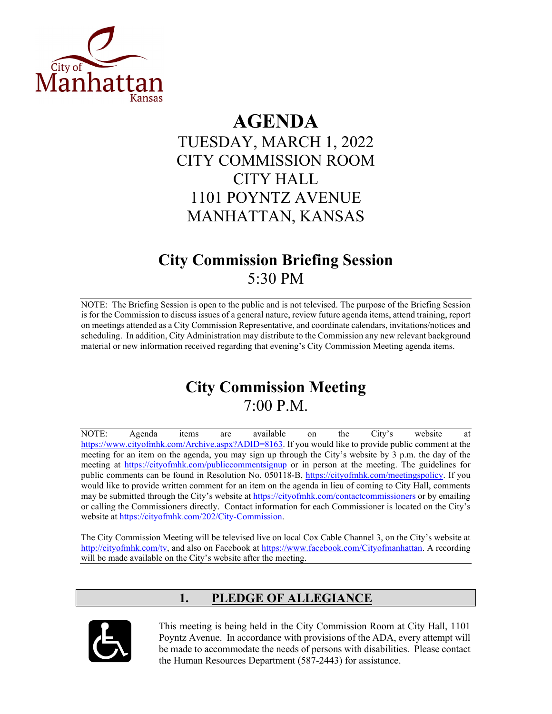

# **AGENDA**

TUESDAY, MARCH 1, 2022 CITY COMMISSION ROOM CITY HALL 1101 POYNTZ AVENUE MANHATTAN, KANSAS

## **City Commission Briefing Session** 5:30 PM

NOTE: The Briefing Session is open to the public and is not televised. The purpose of the Briefing Session is for the Commission to discuss issues of a general nature, review future agenda items, attend training, report on meetings attended as a City Commission Representative, and coordinate calendars, invitations/notices and scheduling. In addition, City Administration may distribute to the Commission any new relevant background material or new information received regarding that evening's City Commission Meeting agenda items.

## **City Commission Meeting** 7:00 P.M.

NOTE: Agenda items are available on the City's website at [https://www.cityofmhk.com/Archive.aspx?ADID=8163.](https://www.cityofmhk.com/Archive.aspx?ADID=8163) If you would like to provide public comment at the meeting for an item on the agenda, you may sign up through the City's website by 3 p.m. the day of the meeting at<https://cityofmhk.com/publiccommentsignup> or in person at the meeting. The guidelines for public comments can be found in Resolution No. 050118-B, [https://cityofmhk.com/meetingspolicy.](https://cityofmhk.com/meetingspolicy) If you would like to provide written comment for an item on the agenda in lieu of coming to City Hall, comments may be submitted through the City's website at<https://cityofmhk.com/contactcommissioners> or by emailing or calling the Commissioners directly. Contact information for each Commissioner is located on the City's website at [https://cityofmhk.com/202/City-Commission.](https://cityofmhk.com/202/City-Commission)

The City Commission Meeting will be televised live on local Cox Cable Channel 3, on the City's website at [http://cityofmhk.com/tv,](http://cityofmhk.com/tv) and also on Facebook at [https://www.facebook.com/Cityofmanhattan.](https://www.facebook.com/Cityofmanhattan) A recording will be made available on the City's website after the meeting.

## **1. PLEDGE OF ALLEGIANCE**



This meeting is being held in the City Commission Room at City Hall, 1101 Poyntz Avenue. In accordance with provisions of the ADA, every attempt will be made to accommodate the needs of persons with disabilities. Please contact the Human Resources Department (587-2443) for assistance.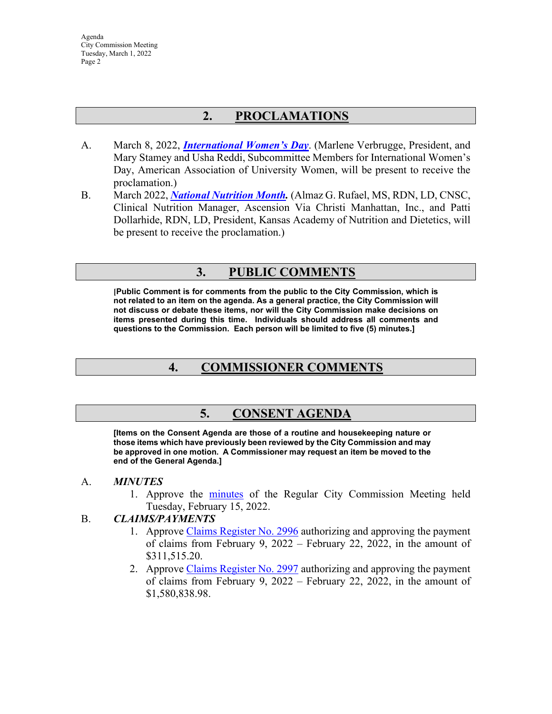Agenda City Commission Meeting Tuesday, March 1, 2022 Page 2

## **2. PROCLAMATIONS**

- A. March 8, 2022, *[International Women's Day](https://manhattanks.sharepoint.com/:b:/s/CommissionPacket/EVizv79B_xZEg5Jav47WyGwBrDaQIdGmRNLXom98M6C-sw?e=KeQJ2P)*. (Marlene Verbrugge, President, and Mary Stamey and Usha Reddi, Subcommittee Members for International Women's Day, American Association of University Women, will be present to receive the proclamation.)
- B. March 2022, *[National Nutrition Month.](https://manhattanks.sharepoint.com/:b:/s/CommissionPacket/EcNuRsYdwQlMjR-d8mVaQ-kBo9D_NUblt7azPLOs2TvaKw?e=3pdSkY)* (Almaz G. Rufael, MS, RDN, LD, CNSC, Clinical Nutrition Manager, Ascension Via Christi Manhattan, Inc., and Patti Dollarhide, RDN, LD, President, Kansas Academy of Nutrition and Dietetics, will be present to receive the proclamation.)

## **3. PUBLIC COMMENTS**

**[Public Comment is for comments from the public to the City Commission, which is not related to an item on the agenda. As a general practice, the City Commission will not discuss or debate these items, nor will the City Commission make decisions on items presented during this time. Individuals should address all comments and questions to the Commission. Each person will be limited to five (5) minutes.]**

## **4. COMMISSIONER COMMENTS**

## **5. CONSENT AGENDA**

**[Items on the Consent Agenda are those of a routine and housekeeping nature or those items which have previously been reviewed by the City Commission and may be approved in one motion. A Commissioner may request an item be moved to the end of the General Agenda.]**

#### A. *MINUTES*

1. Approve the [minutes](https://manhattanks.sharepoint.com/:b:/s/CommissionPacket/Ed7PgrUo4RFDibFebNVRvhQBCODBoKle6NN2kB19zhZY1Q?e=6paQbG) of the Regular City Commission Meeting held Tuesday, February 15, 2022.

#### B. *CLAIMS/PAYMENTS*

- 1. Approve [Claims Register No. 2996](https://manhattanks.sharepoint.com/:b:/s/CommissionPacket/EdE0A4pkIvtMqTc8wNKCdrQBZQOvBEMgpgnK2f0fqVcm2g?e=uBmodx) authorizing and approving the payment of claims from February 9, 2022 – February 22, 2022, in the amount of \$311,515.20.
- 2. Approve [Claims Register No. 2997](https://manhattanks.sharepoint.com/:b:/s/CommissionPacket/EX7uN6SlXeBBpFi4Q_7zqXYBKRAVDD2dp4GcyjzBU0zVnw?e=PD3qjy) authorizing and approving the payment of claims from February 9, 2022 – February 22, 2022, in the amount of \$1,580,838.98.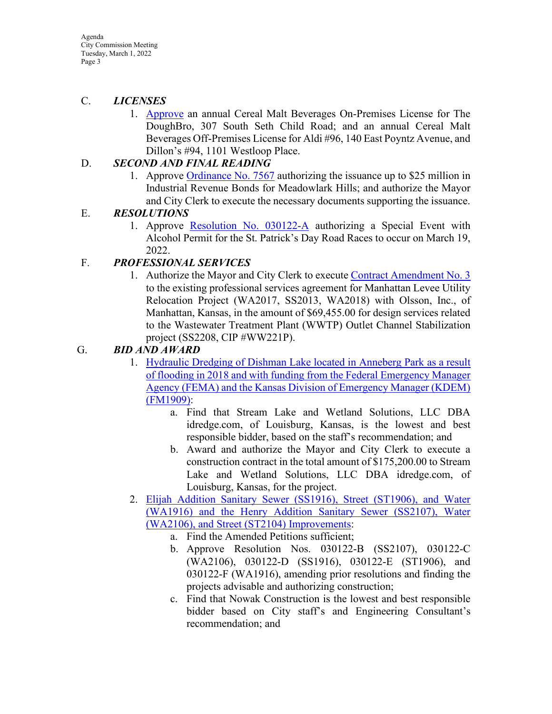Agenda City Commission Meeting Tuesday, March 1, 2022 Page 3

#### C. *LICENSES*

1. [Approve](https://manhattanks.sharepoint.com/:b:/s/CommissionPacket/ESgN7hXRjkVLk91zPPAycKIB_cslhYqENecl0iENXkzo2w?e=Dhvjzz) an annual Cereal Malt Beverages On-Premises License for The DoughBro, 307 South Seth Child Road; and an annual Cereal Malt Beverages Off-Premises License for Aldi #96, 140 East Poyntz Avenue, and Dillon's #94, 1101 Westloop Place.

#### D. *SECOND AND FINAL READING*

1. Approve [Ordinance No. 7567](https://manhattanks.sharepoint.com/:b:/s/CommissionPacket/ETg6LBOGxqFGld7Icc9xHhEB0UgH6HEycIeKCE2gAzItdQ?e=4Nfms6) authorizing the issuance up to \$25 million in Industrial Revenue Bonds for Meadowlark Hills; and authorize the Mayor and City Clerk to execute the necessary documents supporting the issuance.

#### E. *RESOLUTIONS*

1. Approve [Resolution No. 030122-A](https://manhattanks.sharepoint.com/:b:/s/CommissionPacket/EYSXAvsBuz1Hkg1RKhiQHo4BIQPQyUWmKRStAwT_M-isnQ?e=VDW6ar) authorizing a Special Event with Alcohol Permit for the St. Patrick's Day Road Races to occur on March 19, 2022.

#### F. *PROFESSIONAL SERVICES*

1. Authorize the Mayor and City Clerk to execute [Contract Amendment No. 3](https://manhattanks.sharepoint.com/:b:/s/CommissionPacket/ETGxSlTVmJBBop58Zr0_3XgB_BslerppgLYFO2-oWjFtsg?e=shoI38) to the existing professional services agreement for Manhattan Levee Utility Relocation Project (WA2017, SS2013, WA2018) with Olsson, Inc., of Manhattan, Kansas, in the amount of \$69,455.00 for design services related to the Wastewater Treatment Plant (WWTP) Outlet Channel Stabilization project (SS2208, CIP #WW221P).

#### G. *BID AND AWARD*

- 1. [Hydraulic Dredging of Dishman Lake](https://manhattanks.sharepoint.com/:b:/s/CommissionPacket/EeiwSmPT2dZIhJTS9jcN9jQBpT9niEOPgx2K1ZYUrRonbA?e=6Ebgc9) located in Anneberg Park as a result of flooding in 2018 and with funding from [the Federal Emergency Manager](https://manhattanks.sharepoint.com/:b:/s/CommissionPacket/EeiwSmPT2dZIhJTS9jcN9jQBpT9niEOPgx2K1ZYUrRonbA?e=6Ebgc9)  Agency (FEMA) and [the Kansas Division of Emergency Manager \(KDEM\)](https://manhattanks.sharepoint.com/:b:/s/CommissionPacket/EeiwSmPT2dZIhJTS9jcN9jQBpT9niEOPgx2K1ZYUrRonbA?e=6Ebgc9) [\(FM1909\):](https://manhattanks.sharepoint.com/:b:/s/CommissionPacket/EeiwSmPT2dZIhJTS9jcN9jQBpT9niEOPgx2K1ZYUrRonbA?e=6Ebgc9)
	- a. Find that Stream Lake and Wetland Solutions, LLC DBA idredge.com, of Louisburg, Kansas, is the lowest and best responsible bidder, based on the staff's recommendation; and
	- b. Award and authorize the Mayor and City Clerk to execute a construction contract in the total amount of \$175,200.00 to Stream Lake and Wetland Solutions, LLC DBA idredge.com, of Louisburg, Kansas, for the project.
- 2. [Elijah Addition Sanitary Sewer \(SS1916\), Street \(ST1906\), and Water](https://manhattanks.sharepoint.com/:b:/s/CommissionPacket/EUAP6_8LKmtOuwsLZG255mwBxQTsfzpqNIaqMHQHxT1pzw?e=J4W89d)  (WA1916) and [the Henry Addition Sanitary Sewer \(SS2107\), Water](https://manhattanks.sharepoint.com/:b:/s/CommissionPacket/EUAP6_8LKmtOuwsLZG255mwBxQTsfzpqNIaqMHQHxT1pzw?e=J4W89d)  [\(WA2106\), and Street \(ST2104\) Improvements:](https://manhattanks.sharepoint.com/:b:/s/CommissionPacket/EUAP6_8LKmtOuwsLZG255mwBxQTsfzpqNIaqMHQHxT1pzw?e=J4W89d)
	- a. Find the Amended Petitions sufficient;
	- b. Approve Resolution Nos. 030122-B (SS2107), 030122-C (WA2106), 030122-D (SS1916), 030122-E (ST1906), and 030122-F (WA1916), amending prior resolutions and finding the projects advisable and authorizing construction;
	- c. Find that Nowak Construction is the lowest and best responsible bidder based on City staff's and Engineering Consultant's recommendation; and